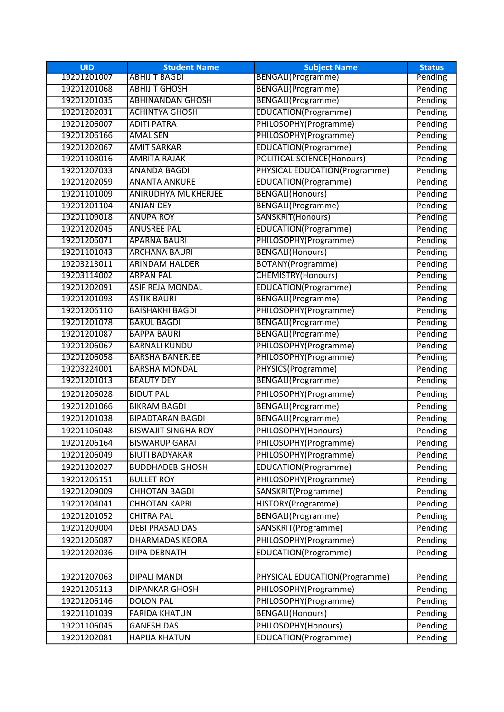| <b>UID</b>  | <b>Student Name</b>        | <b>Subject Name</b>               | <b>Status</b> |
|-------------|----------------------------|-----------------------------------|---------------|
| 19201201007 | <b>ABHIJIT BAGDI</b>       | <b>BENGALI(Programme)</b>         | Pending       |
| 19201201068 | <b>ABHIJIT GHOSH</b>       | <b>BENGALI(Programme)</b>         | Pending       |
| 19201201035 | <b>ABHINANDAN GHOSH</b>    | <b>BENGALI(Programme)</b>         | Pending       |
| 19201202031 | <b>ACHINTYA GHOSH</b>      | <b>EDUCATION(Programme)</b>       | Pending       |
| 19201206007 | <b>ADITI PATRA</b>         | PHILOSOPHY(Programme)             | Pending       |
| 19201206166 | <b>AMAL SEN</b>            | PHILOSOPHY(Programme)             | Pending       |
| 19201202067 | <b>AMIT SARKAR</b>         | EDUCATION(Programme)              | Pending       |
| 19201108016 | <b>AMRITA RAJAK</b>        | <b>POLITICAL SCIENCE(Honours)</b> | Pending       |
| 19201207033 | <b>ANANDA BAGDI</b>        | PHYSICAL EDUCATION(Programme)     | Pending       |
| 19201202059 | <b>ANANTA ANKURE</b>       | EDUCATION(Programme)              | Pending       |
| 19201101009 | <b>ANIRUDHYA MUKHERJEE</b> | <b>BENGALI(Honours)</b>           | Pending       |
| 19201201104 | <b>ANJAN DEY</b>           | <b>BENGALI(Programme)</b>         | Pending       |
| 19201109018 | <b>ANUPA ROY</b>           | SANSKRIT(Honours)                 | Pending       |
| 19201202045 | <b>ANUSREE PAL</b>         | <b>EDUCATION(Programme)</b>       | Pending       |
| 19201206071 | <b>APARNA BAURI</b>        | PHILOSOPHY(Programme)             | Pending       |
| 19201101043 | <b>ARCHANA BAURI</b>       | BENGALI(Honours)                  | Pending       |
| 19203213011 | <b>ARINDAM HALDER</b>      | BOTANY(Programme)                 | Pending       |
| 19203114002 | <b>ARPAN PAL</b>           | <b>CHEMISTRY(Honours)</b>         | Pending       |
| 19201202091 | <b>ASIF REJA MONDAL</b>    | <b>EDUCATION(Programme)</b>       | Pending       |
| 19201201093 | <b>ASTIK BAURI</b>         | <b>BENGALI(Programme)</b>         | Pending       |
| 19201206110 | <b>BAISHAKHI BAGDI</b>     | PHILOSOPHY(Programme)             | Pending       |
| 19201201078 | <b>BAKUL BAGDI</b>         | BENGALI(Programme)                | Pending       |
| 19201201087 | <b>BAPPA BAURI</b>         | <b>BENGALI(Programme)</b>         | Pending       |
| 19201206067 | <b>BARNALI KUNDU</b>       | PHILOSOPHY(Programme)             | Pending       |
| 19201206058 | <b>BARSHA BANERJEE</b>     | PHILOSOPHY(Programme)             | Pending       |
| 19203224001 | <b>BARSHA MONDAL</b>       | PHYSICS(Programme)                | Pending       |
| 19201201013 | <b>BEAUTY DEY</b>          | BENGALI(Programme)                | Pending       |
| 19201206028 | <b>BIDUT PAL</b>           | PHILOSOPHY(Programme)             | Pending       |
| 19201201066 | <b>BIKRAM BAGDI</b>        | BENGALI(Programme)                | Pending       |
| 19201201038 | <b>BIPADTARAN BAGDI</b>    | <b>BENGALI(Programme)</b>         | Pending       |
| 19201106048 | <b>BISWAJIT SINGHA ROY</b> | PHILOSOPHY(Honours)               | Pending       |
| 19201206164 | <b>BISWARUP GARAI</b>      | PHILOSOPHY(Programme)             | Pending       |
| 19201206049 | <b>BIUTI BADYAKAR</b>      | PHILOSOPHY(Programme)             | Pending       |
| 19201202027 | <b>BUDDHADEB GHOSH</b>     | EDUCATION(Programme)              | Pending       |
| 19201206151 | <b>BULLET ROY</b>          | PHILOSOPHY(Programme)             | Pending       |
| 19201209009 | <b>CHHOTAN BAGDI</b>       | SANSKRIT(Programme)               | Pending       |
| 19201204041 | <b>CHHOTAN KAPRI</b>       | HISTORY(Programme)                | Pending       |
| 19201201052 | <b>CHITRA PAL</b>          | <b>BENGALI(Programme)</b>         | Pending       |
| 19201209004 | <b>DEBI PRASAD DAS</b>     | SANSKRIT(Programme)               | Pending       |
| 19201206087 | <b>DHARMADAS KEORA</b>     | PHILOSOPHY(Programme)             | Pending       |
| 19201202036 | DIPA DEBNATH               | EDUCATION(Programme)              | Pending       |
|             |                            |                                   |               |
| 19201207063 | <b>DIPALI MANDI</b>        | PHYSICAL EDUCATION(Programme)     | Pending       |
| 19201206113 | <b>DIPANKAR GHOSH</b>      | PHILOSOPHY(Programme)             | Pending       |
| 19201206146 | <b>DOLON PAL</b>           | PHILOSOPHY(Programme)             | Pending       |
| 19201101039 | <b>FARIDA KHATUN</b>       | <b>BENGALI(Honours)</b>           | Pending       |
|             |                            |                                   |               |
| 19201106045 | <b>GANESH DAS</b>          | PHILOSOPHY(Honours)               | Pending       |
| 19201202081 | <b>HAPIJA KHATUN</b>       | EDUCATION(Programme)              | Pending       |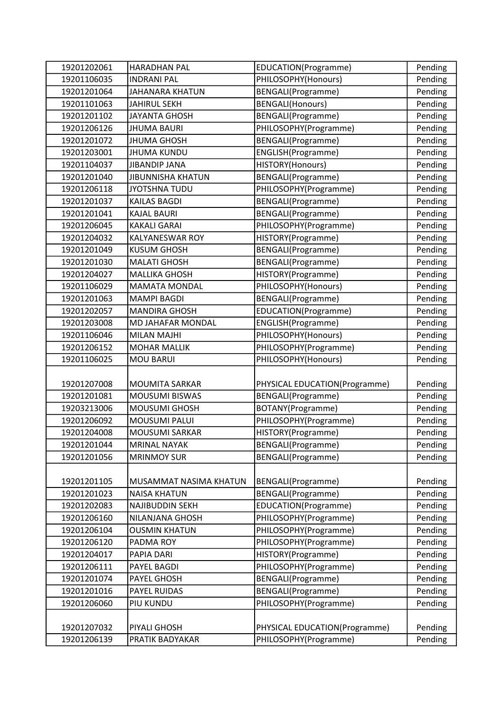| 19201202061 | <b>HARADHAN PAL</b>      | EDUCATION(Programme)          | Pending |
|-------------|--------------------------|-------------------------------|---------|
| 19201106035 | <b>INDRANI PAL</b>       | PHILOSOPHY(Honours)           | Pending |
| 19201201064 | <b>JAHANARA KHATUN</b>   | BENGALI(Programme)            | Pending |
| 19201101063 | <b>JAHIRUL SEKH</b>      | <b>BENGALI(Honours)</b>       | Pending |
| 19201201102 | <b>JAYANTA GHOSH</b>     | BENGALI(Programme)            | Pending |
| 19201206126 | <b>JHUMA BAURI</b>       | PHILOSOPHY(Programme)         | Pending |
| 19201201072 | <b>JHUMA GHOSH</b>       | BENGALI(Programme)            | Pending |
| 19201203001 | <b>JHUMA KUNDU</b>       | ENGLISH(Programme)            | Pending |
| 19201104037 | <b>JIBANDIP JANA</b>     | HISTORY(Honours)              | Pending |
| 19201201040 | <b>JIBUNNISHA KHATUN</b> | BENGALI(Programme)            | Pending |
| 19201206118 | <b>JYOTSHNA TUDU</b>     | PHILOSOPHY(Programme)         | Pending |
| 19201201037 | <b>KAILAS BAGDI</b>      | BENGALI(Programme)            | Pending |
| 19201201041 | <b>KAJAL BAURI</b>       | BENGALI(Programme)            | Pending |
| 19201206045 | <b>KAKALI GARAI</b>      | PHILOSOPHY(Programme)         | Pending |
| 19201204032 | <b>KALYANESWAR ROY</b>   | HISTORY(Programme)            | Pending |
| 19201201049 | <b>KUSUM GHOSH</b>       | BENGALI(Programme)            | Pending |
| 19201201030 | <b>MALATI GHOSH</b>      | BENGALI(Programme)            | Pending |
| 19201204027 | <b>MALLIKA GHOSH</b>     | HISTORY(Programme)            | Pending |
| 19201106029 | <b>MAMATA MONDAL</b>     | PHILOSOPHY(Honours)           | Pending |
| 19201201063 | <b>MAMPI BAGDI</b>       | BENGALI(Programme)            | Pending |
| 19201202057 | <b>MANDIRA GHOSH</b>     | EDUCATION(Programme)          | Pending |
| 19201203008 | MD JAHAFAR MONDAL        | ENGLISH(Programme)            | Pending |
| 19201106046 | <b>MILAN MAJHI</b>       | PHILOSOPHY(Honours)           | Pending |
| 19201206152 | <b>MOHAR MALLIK</b>      | PHILOSOPHY(Programme)         | Pending |
| 19201106025 | <b>MOU BARUI</b>         | PHILOSOPHY(Honours)           | Pending |
|             |                          |                               |         |
| 19201207008 | <b>MOUMITA SARKAR</b>    | PHYSICAL EDUCATION(Programme) | Pending |
| 19201201081 | <b>MOUSUMI BISWAS</b>    | BENGALI(Programme)            | Pending |
| 19203213006 | <b>MOUSUMI GHOSH</b>     | BOTANY(Programme)             | Pending |
| 19201206092 | <b>MOUSUMI PALUI</b>     | PHILOSOPHY(Programme)         | Pending |
| 19201204008 | MOUSUMI SARKAR           | HISTORY(Programme)            | Pending |
| 19201201044 | <b>MRINAL NAYAK</b>      | BENGALI(Programme)            | Pending |
| 19201201056 | <b>MRINMOY SUR</b>       | BENGALI(Programme)            | Pending |
|             |                          |                               |         |
| 19201201105 | MUSAMMAT NASIMA KHATUN   | <b>BENGALI</b> (Programme)    | Pending |
| 19201201023 | <b>NAISA KHATUN</b>      | BENGALI(Programme)            | Pending |
| 19201202083 | NAJIBUDDIN SEKH          | EDUCATION(Programme)          | Pending |
| 19201206160 | NILANJANA GHOSH          | PHILOSOPHY(Programme)         | Pending |
| 19201206104 | <b>OUSMIN KHATUN</b>     | PHILOSOPHY(Programme)         | Pending |
| 19201206120 | PADMA ROY                | PHILOSOPHY(Programme)         | Pending |
| 19201204017 | PAPIA DARI               | HISTORY(Programme)            | Pending |
| 19201206111 | PAYEL BAGDI              | PHILOSOPHY(Programme)         | Pending |
| 19201201074 | PAYEL GHOSH              | BENGALI(Programme)            | Pending |
| 19201201016 | PAYEL RUIDAS             | BENGALI(Programme)            | Pending |
| 19201206060 | PIU KUNDU                | PHILOSOPHY(Programme)         | Pending |
|             |                          |                               |         |
| 19201207032 | PIYALI GHOSH             | PHYSICAL EDUCATION(Programme) | Pending |
| 19201206139 | PRATIK BADYAKAR          | PHILOSOPHY(Programme)         | Pending |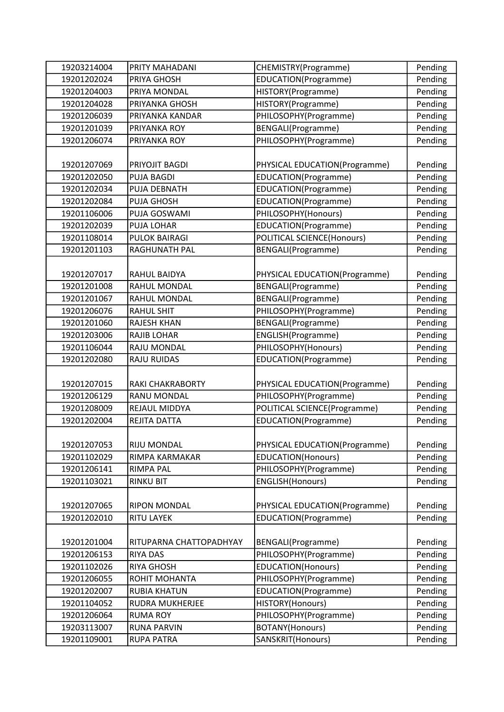| 19203214004 | PRITY MAHADANI          | CHEMISTRY(Programme)          | Pending |
|-------------|-------------------------|-------------------------------|---------|
| 19201202024 | PRIYA GHOSH             | EDUCATION(Programme)          | Pending |
| 19201204003 | PRIYA MONDAL            | HISTORY(Programme)            | Pending |
| 19201204028 | PRIYANKA GHOSH          | HISTORY(Programme)            | Pending |
| 19201206039 | PRIYANKA KANDAR         | PHILOSOPHY(Programme)         | Pending |
| 19201201039 | PRIYANKA ROY            | <b>BENGALI(Programme)</b>     | Pending |
| 19201206074 | PRIYANKA ROY            | PHILOSOPHY(Programme)         | Pending |
|             |                         |                               |         |
| 19201207069 | PRIYOJIT BAGDI          | PHYSICAL EDUCATION(Programme) | Pending |
| 19201202050 | <b>PUJA BAGDI</b>       | EDUCATION(Programme)          | Pending |
| 19201202034 | PUJA DEBNATH            | EDUCATION(Programme)          | Pending |
| 19201202084 | PUJA GHOSH              | EDUCATION(Programme)          | Pending |
| 19201106006 | PUJA GOSWAMI            | PHILOSOPHY(Honours)           | Pending |
| 19201202039 | <b>PUJA LOHAR</b>       | EDUCATION(Programme)          | Pending |
| 19201108014 | <b>PULOK BAIRAGI</b>    | POLITICAL SCIENCE(Honours)    | Pending |
| 19201201103 | RAGHUNATH PAL           | <b>BENGALI(Programme)</b>     | Pending |
|             |                         |                               |         |
| 19201207017 | RAHUL BAIDYA            | PHYSICAL EDUCATION(Programme) | Pending |
| 19201201008 | RAHUL MONDAL            | BENGALI(Programme)            | Pending |
| 19201201067 | RAHUL MONDAL            | BENGALI(Programme)            | Pending |
| 19201206076 | <b>RAHUL SHIT</b>       | PHILOSOPHY(Programme)         | Pending |
| 19201201060 | <b>RAJESH KHAN</b>      | BENGALI(Programme)            | Pending |
| 19201203006 | <b>RAJIB LOHAR</b>      | ENGLISH(Programme)            | Pending |
| 19201106044 | RAJU MONDAL             | PHILOSOPHY(Honours)           | Pending |
| 19201202080 | <b>RAJU RUIDAS</b>      | EDUCATION(Programme)          | Pending |
|             |                         |                               |         |
| 19201207015 | <b>RAKI CHAKRABORTY</b> | PHYSICAL EDUCATION(Programme) | Pending |
| 19201206129 | <b>RANU MONDAL</b>      | PHILOSOPHY(Programme)         | Pending |
| 19201208009 | REJAUL MIDDYA           | POLITICAL SCIENCE(Programme)  | Pending |
| 19201202004 | REJITA DATTA            | EDUCATION(Programme)          | Pending |
|             |                         |                               |         |
| 19201207053 | <b>RIJU MONDAL</b>      | PHYSICAL EDUCATION(Programme) | Pending |
| 19201102029 | RIMPA KARMAKAR          | <b>EDUCATION(Honours)</b>     | Pending |
| 19201206141 | <b>RIMPA PAL</b>        | PHILOSOPHY(Programme)         | Pending |
| 19201103021 | <b>RINKU BIT</b>        | <b>ENGLISH</b> (Honours)      | Pending |
|             |                         |                               |         |
| 19201207065 | <b>RIPON MONDAL</b>     | PHYSICAL EDUCATION(Programme) | Pending |
| 19201202010 | <b>RITU LAYEK</b>       | EDUCATION(Programme)          | Pending |
|             |                         |                               |         |
| 19201201004 | RITUPARNA CHATTOPADHYAY | BENGALI(Programme)            | Pending |
| 19201206153 | <b>RIYA DAS</b>         | PHILOSOPHY(Programme)         | Pending |
| 19201102026 | <b>RIYA GHOSH</b>       | EDUCATION(Honours)            | Pending |
| 19201206055 | ROHIT MOHANTA           | PHILOSOPHY(Programme)         | Pending |
| 19201202007 | <b>RUBIA KHATUN</b>     | EDUCATION(Programme)          | Pending |
| 19201104052 | RUDRA MUKHERJEE         | HISTORY(Honours)              | Pending |
| 19201206064 | <b>RUMA ROY</b>         | PHILOSOPHY(Programme)         | Pending |
| 19203113007 | <b>RUNA PARVIN</b>      | BOTANY(Honours)               | Pending |
| 19201109001 | <b>RUPA PATRA</b>       | SANSKRIT(Honours)             | Pending |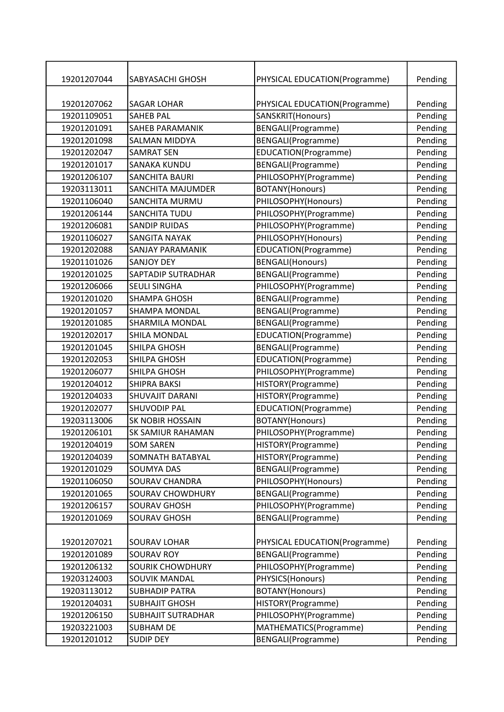| 19201207044 | SABYASACHI GHOSH          | PHYSICAL EDUCATION(Programme) | Pending |
|-------------|---------------------------|-------------------------------|---------|
|             |                           |                               |         |
| 19201207062 | <b>SAGAR LOHAR</b>        | PHYSICAL EDUCATION(Programme) | Pending |
| 19201109051 | <b>SAHEB PAL</b>          | SANSKRIT(Honours)             | Pending |
| 19201201091 | SAHEB PARAMANIK           | BENGALI(Programme)            | Pending |
| 19201201098 | <b>SALMAN MIDDYA</b>      | BENGALI(Programme)            | Pending |
| 19201202047 | <b>SAMRAT SEN</b>         | EDUCATION(Programme)          | Pending |
| 19201201017 | <b>SANAKA KUNDU</b>       | BENGALI(Programme)            | Pending |
| 19201206107 | <b>SANCHITA BAURI</b>     | PHILOSOPHY(Programme)         | Pending |
| 19203113011 | SANCHITA MAJUMDER         | BOTANY(Honours)               | Pending |
| 19201106040 | SANCHITA MURMU            | PHILOSOPHY(Honours)           | Pending |
| 19201206144 | <b>SANCHITA TUDU</b>      | PHILOSOPHY(Programme)         | Pending |
| 19201206081 | <b>SANDIP RUIDAS</b>      | PHILOSOPHY(Programme)         | Pending |
| 19201106027 | <b>SANGITA NAYAK</b>      | PHILOSOPHY(Honours)           | Pending |
| 19201202088 | <b>SANJAY PARAMANIK</b>   | EDUCATION(Programme)          | Pending |
| 19201101026 | <b>SANJOY DEY</b>         | <b>BENGALI(Honours)</b>       | Pending |
| 19201201025 | SAPTADIP SUTRADHAR        | BENGALI(Programme)            | Pending |
| 19201206066 | <b>SEULI SINGHA</b>       | PHILOSOPHY(Programme)         | Pending |
| 19201201020 | <b>SHAMPA GHOSH</b>       | BENGALI(Programme)            | Pending |
| 19201201057 | <b>SHAMPA MONDAL</b>      | BENGALI(Programme)            | Pending |
| 19201201085 | <b>SHARMILA MONDAL</b>    | BENGALI(Programme)            | Pending |
| 19201202017 | SHILA MONDAL              | EDUCATION(Programme)          | Pending |
| 19201201045 | SHILPA GHOSH              | BENGALI(Programme)            | Pending |
| 19201202053 | SHILPA GHOSH              | EDUCATION(Programme)          | Pending |
| 19201206077 | SHILPA GHOSH              | PHILOSOPHY(Programme)         | Pending |
| 19201204012 | <b>SHIPRA BAKSI</b>       | HISTORY(Programme)            | Pending |
| 19201204033 | <b>SHUVAJIT DARANI</b>    | HISTORY(Programme)            | Pending |
| 19201202077 | <b>SHUVODIP PAL</b>       | EDUCATION(Programme)          | Pending |
| 19203113006 | <b>SK NOBIR HOSSAIN</b>   | BOTANY(Honours)               | Pending |
| 19201206101 | <b>SK SAMIUR RAHAMAN</b>  | PHILOSOPHY(Programme)         | Pending |
| 19201204019 | <b>SOM SAREN</b>          | HISTORY(Programme)            | Pending |
| 19201204039 | SOMNATH BATABYAL          | HISTORY(Programme)            | Pending |
| 19201201029 | <b>SOUMYA DAS</b>         | BENGALI(Programme)            | Pending |
| 19201106050 | <b>SOURAV CHANDRA</b>     | PHILOSOPHY(Honours)           | Pending |
| 19201201065 | SOURAV CHOWDHURY          | BENGALI(Programme)            | Pending |
| 19201206157 | <b>SOURAV GHOSH</b>       | PHILOSOPHY(Programme)         | Pending |
| 19201201069 | <b>SOURAV GHOSH</b>       | BENGALI(Programme)            | Pending |
|             |                           |                               |         |
| 19201207021 | <b>SOURAV LOHAR</b>       | PHYSICAL EDUCATION(Programme) | Pending |
| 19201201089 | <b>SOURAV ROY</b>         | BENGALI(Programme)            | Pending |
| 19201206132 | <b>SOURIK CHOWDHURY</b>   | PHILOSOPHY(Programme)         | Pending |
| 19203124003 | SOUVIK MANDAL             | PHYSICS(Honours)              | Pending |
| 19203113012 | <b>SUBHADIP PATRA</b>     | BOTANY(Honours)               | Pending |
| 19201204031 | <b>SUBHAJIT GHOSH</b>     | HISTORY(Programme)            | Pending |
| 19201206150 | <b>SUBHAJIT SUTRADHAR</b> | PHILOSOPHY(Programme)         | Pending |
| 19203221003 | <b>SUBHAM DE</b>          | MATHEMATICS(Programme)        | Pending |
| 19201201012 | <b>SUDIP DEY</b>          | BENGALI(Programme)            | Pending |